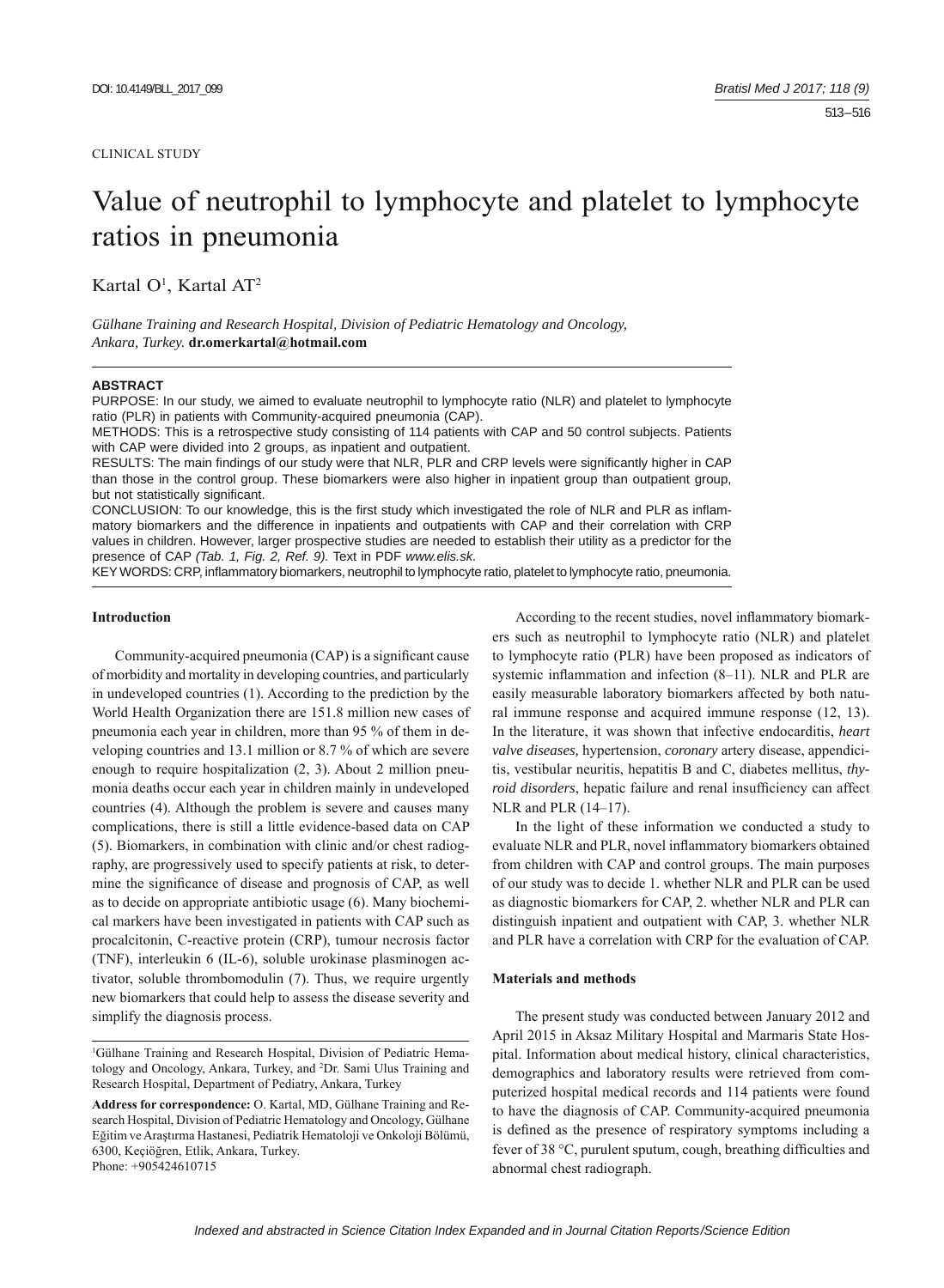#### CLINICAL STUDY

# Value of neutrophil to lymphocyte and platelet to lymphocyte ratios in pneumonia

Kartal O<sup>1</sup>, Kartal AT<sup>2</sup>

*Gülhane Training and Research Hospital, Division of Pediatric Hematology and Oncology, Ankara, Turkey.* **dr.omerkartal@hotmail.com** 

#### **ABSTRACT**

PURPOSE: In our study, we aimed to evaluate neutrophil to lymphocyte ratio (NLR) and platelet to lymphocyte ratio (PLR) in patients with Community-acquired pneumonia (CAP).

METHODS: This is a retrospective study consisting of 114 patients with CAP and 50 control subjects. Patients with CAP were divided into 2 groups, as inpatient and outpatient.

RESULTS: The main findings of our study were that NLR, PLR and CRP levels were significantly higher in CAP than those in the control group. These biomarkers were also higher in inpatient group than outpatient group, but not statistically significant.

CONCLUSION: To our knowledge, this is the first study which investigated the role of NLR and PLR as inflammatory biomarkers and the difference in inpatients and outpatients with CAP and their correlation with CRP values in children. However, larger prospective studies are needed to establish their utility as a predictor for the presence of CAP *(Tab. 1, Fig. 2, Ref. 9).* Text in PDF *www.elis.sk.*

KEY WORDS: CRP, inflammatory biomarkers, neutrophil to lymphocyte ratio, platelet to lymphocyte ratio, pneumonia.

#### **Introduction**

Community-acquired pneumonia (CAP) is a significant cause of morbidity and mortality in developing countries, and particularly in undeveloped countries (1). According to the prediction by the World Health Organization there are 151.8 million new cases of pneumonia each year in children, more than 95 % of them in developing countries and 13.1 million or 8.7 % of which are severe enough to require hospitalization (2, 3). About 2 million pneumonia deaths occur each year in children mainly in undeveloped countries (4). Although the problem is severe and causes many complications, there is still a little evidence-based data on CAP (5). Biomarkers, in combination with clinic and/or chest radiography, are progressively used to specify patients at risk, to determine the significance of disease and prognosis of CAP, as well as to decide on appropriate antibiotic usage (6). Many biochemical markers have been investigated in patients with CAP such as procalcitonin, C-reactive protein (CRP), tumour necrosis factor (TNF), interleukin 6 (IL-6), soluble urokinase plasminogen activator, soluble thrombomodulin (7). Thus, we require urgently new biomarkers that could help to assess the disease severity and simplify the diagnosis process.

According to the recent studies, novel inflammatory biomarkers such as neutrophil to lymphocyte ratio (NLR) and platelet to lymphocyte ratio (PLR) have been proposed as indicators of systemic inflammation and infection  $(8-11)$ . NLR and PLR are easily measurable laboratory biomarkers affected by both natural immune response and acquired immune response (12, 13). In the literature, it was shown that infective endocarditis, *heart valve diseases,* hypertension, *coronary* artery disease, appendicitis, vestibular neuritis, hepatitis B and C, diabetes mellitus, *thyroid disorders*, hepatic failure and renal insufficiency can affect NLR and PLR (14–17).

In the light of these information we conducted a study to evaluate NLR and PLR, novel inflammatory biomarkers obtained from children with CAP and control groups. The main purposes of our study was to decide 1. whether NLR and PLR can be used as diagnostic biomarkers for CAP, 2. whether NLR and PLR can distinguish inpatient and outpatient with CAP, 3. whether NLR and PLR have a correlation with CRP for the evaluation of CAP.

#### **Materials and methods**

The present study was conducted between January 2012 and April 2015 in Aksaz Military Hospital and Marmaris State Hospital. Information about medical history, clinical characteristics, demographics and laboratory results were retrieved from computerized hospital medical records and 114 patients were found to have the diagnosis of CAP. Community-acquired pneumonia is defined as the presence of respiratory symptoms including a fever of 38 °C, purulent sputum, cough, breathing difficulties and abnormal chest radiograph.

<sup>1</sup> Gülhane Training and Research Hospital, Division of Pediatric Hematology and Oncology, Ankara, Turkey, and 2 Dr. Sami Ulus Training and Research Hospital, Department of Pediatry, Ankara, Turkey

**Address for correspondence:** O. Kartal, MD, Gülhane Training and Research Hospital, Division of Pediatric Hematology and Oncology, Gülhane Eğitim ve Araştırma Hastanesi, Pediatrik Hematoloji ve Onkoloji Bölümü, 6300, Keçiöğren, Etlik, Ankara, Turkey. Phone: +905424610715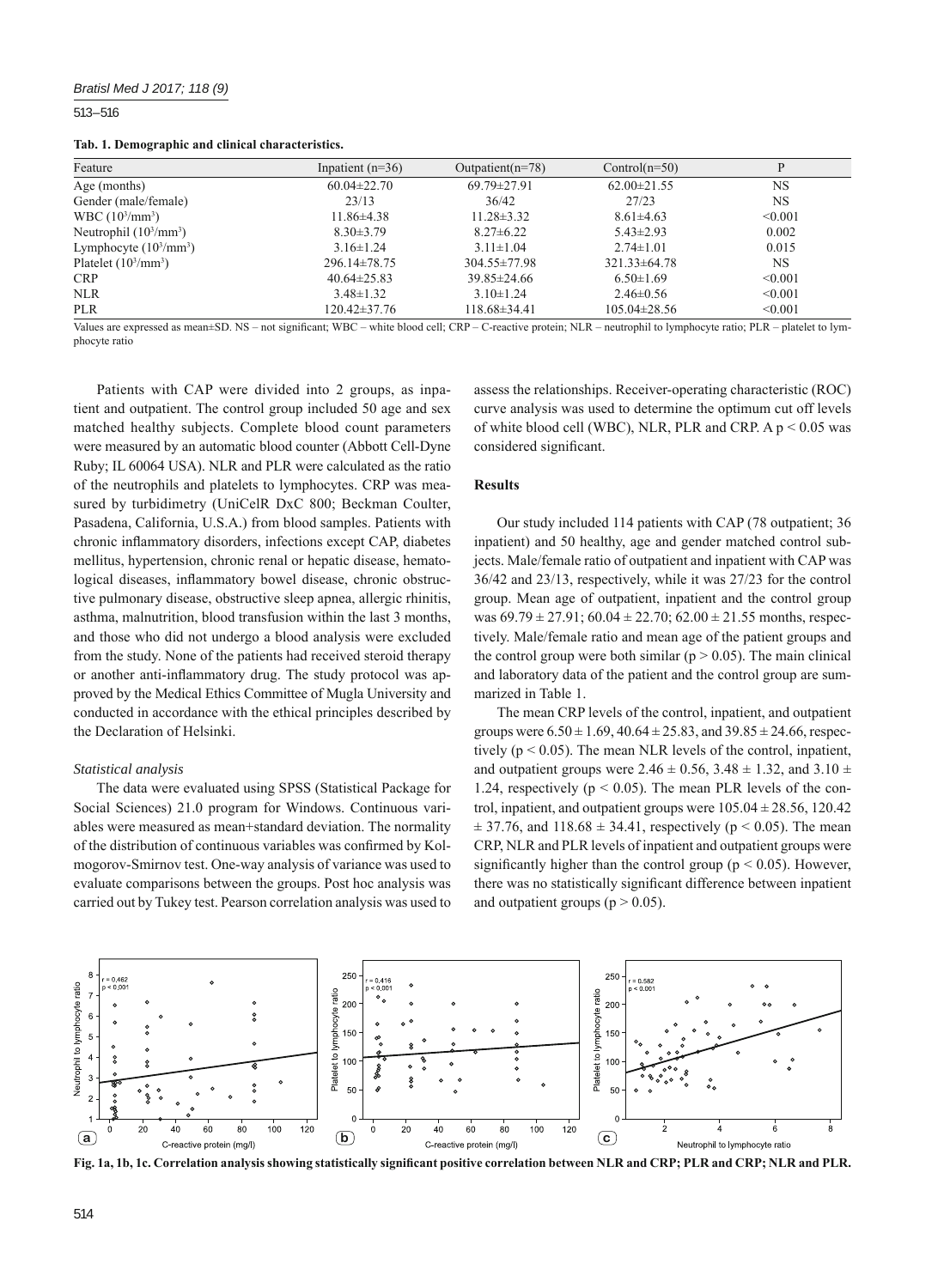### *Bratisl Med J 2017; 118 (9)*

513 – 516

**Tab. 1. Demographic and clinical characteristics.**

| Inpatient $(n=36)$ | Outpatient( $n=78$ ) | $Control(n=50)$    |           |
|--------------------|----------------------|--------------------|-----------|
| $60.04 \pm 22.70$  | $69.79 \pm 27.91$    | $62.00 \pm 21.55$  | <b>NS</b> |
| 23/13              | 36/42                | 27/23              | <b>NS</b> |
| $11.86\pm4.38$     | $11.28 \pm 3.32$     | $8.61 \pm 4.63$    | < 0.001   |
| $8.30 \pm 3.79$    | $8.27 \pm 6.22$      | $5.43 \pm 2.93$    | 0.002     |
| $3.16 \pm 1.24$    | $3.11 \pm 1.04$      | $2.74 \pm 1.01$    | 0.015     |
| 296.14±78.75       | $304.55 \pm 77.98$   | $321.33 \pm 64.78$ | <b>NS</b> |
| $40.64 \pm 25.83$  | $39.85 \pm 24.66$    | $6.50 \pm 1.69$    | < 0.001   |
| $3.48 \pm 1.32$    | $3.10 \pm 1.24$      | $2.46 \pm 0.56$    | < 0.001   |
| 120.42±37.76       | $118.68\pm34.41$     | $105.04 \pm 28.56$ | < 0.001   |
|                    |                      |                    |           |

Values are expressed as mean±SD. NS – not significant; WBC – white blood cell; CRP – C-reactive protein; NLR – neutrophil to lymphocyte ratio; PLR – platelet to lymphocyte ratio

Patients with CAP were divided into 2 groups, as inpatient and outpatient. The control group included 50 age and sex matched healthy subjects. Complete blood count parameters were measured by an automatic blood counter (Abbott Cell-Dyne Ruby; IL 60064 USA). NLR and PLR were calculated as the ratio of the neutrophils and platelets to lymphocytes. CRP was measured by turbidimetry (UniCelR DxC 800; Beckman Coulter, Pasadena, California, U.S.A.) from blood samples. Patients with chronic inflammatory disorders, infections except CAP, diabetes mellitus, hypertension, chronic renal or hepatic disease, hematological diseases, inflammatory bowel disease, chronic obstructive pulmonary disease, obstructive sleep apnea, allergic rhinitis, asthma, malnutrition, blood transfusion within the last 3 months, and those who did not undergo a blood analysis were excluded from the study. None of the patients had received steroid therapy or another anti-inflammatory drug. The study protocol was approved by the Medical Ethics Committee of Mugla University and conducted in accordance with the ethical principles described by the Declaration of Helsinki.

#### *Statistical analysis*

The data were evaluated using SPSS (Statistical Package for Social Sciences) 21.0 program for Windows. Continuous variables were measured as mean+standard deviation. The normality of the distribution of continuous variables was confirmed by Kolmogorov-Smirnov test. One-way analysis of variance was used to evaluate comparisons between the groups. Post hoc analysis was carried out by Tukey test. Pearson correlation analysis was used to

assess the relationships. Receiver-operating characteristic (ROC) curve analysis was used to determine the optimum cut off levels of white blood cell (WBC), NLR, PLR and CRP. A p < 0.05 was considered significant.

# **Results**

Our study included 114 patients with CAP (78 outpatient; 36 inpatient) and 50 healthy, age and gender matched control subjects. Male/female ratio of outpatient and inpatient with CAP was 36/42 and 23/13, respectively, while it was 27/23 for the control group. Mean age of outpatient, inpatient and the control group was  $69.79 \pm 27.91$ ;  $60.04 \pm 22.70$ ;  $62.00 \pm 21.55$  months, respectively. Male/female ratio and mean age of the patient groups and the control group were both similar ( $p > 0.05$ ). The main clinical and laboratory data of the patient and the control group are summarized in Table 1.

The mean CRP levels of the control, inpatient, and outpatient groups were  $6.50 \pm 1.69$ ,  $40.64 \pm 25.83$ , and  $39.85 \pm 24.66$ , respectively ( $p < 0.05$ ). The mean NLR levels of the control, inpatient, and outpatient groups were  $2.46 \pm 0.56$ ,  $3.48 \pm 1.32$ , and  $3.10 \pm 1.32$ 1.24, respectively ( $p < 0.05$ ). The mean PLR levels of the control, inpatient, and outpatient groups were  $105.04 \pm 28.56$ , 120.42  $\pm$  37.76, and 118.68  $\pm$  34.41, respectively (p < 0.05). The mean CRP, NLR and PLR levels of inpatient and outpatient groups were significantly higher than the control group ( $p \le 0.05$ ). However, there was no statistically significant difference between inpatient and outpatient groups ( $p > 0.05$ ).



Fig. 1a, 1b, 1c. Correlation analysis showing statistically significant positive correlation between NLR and CRP; PLR and CRP; NLR and PLR.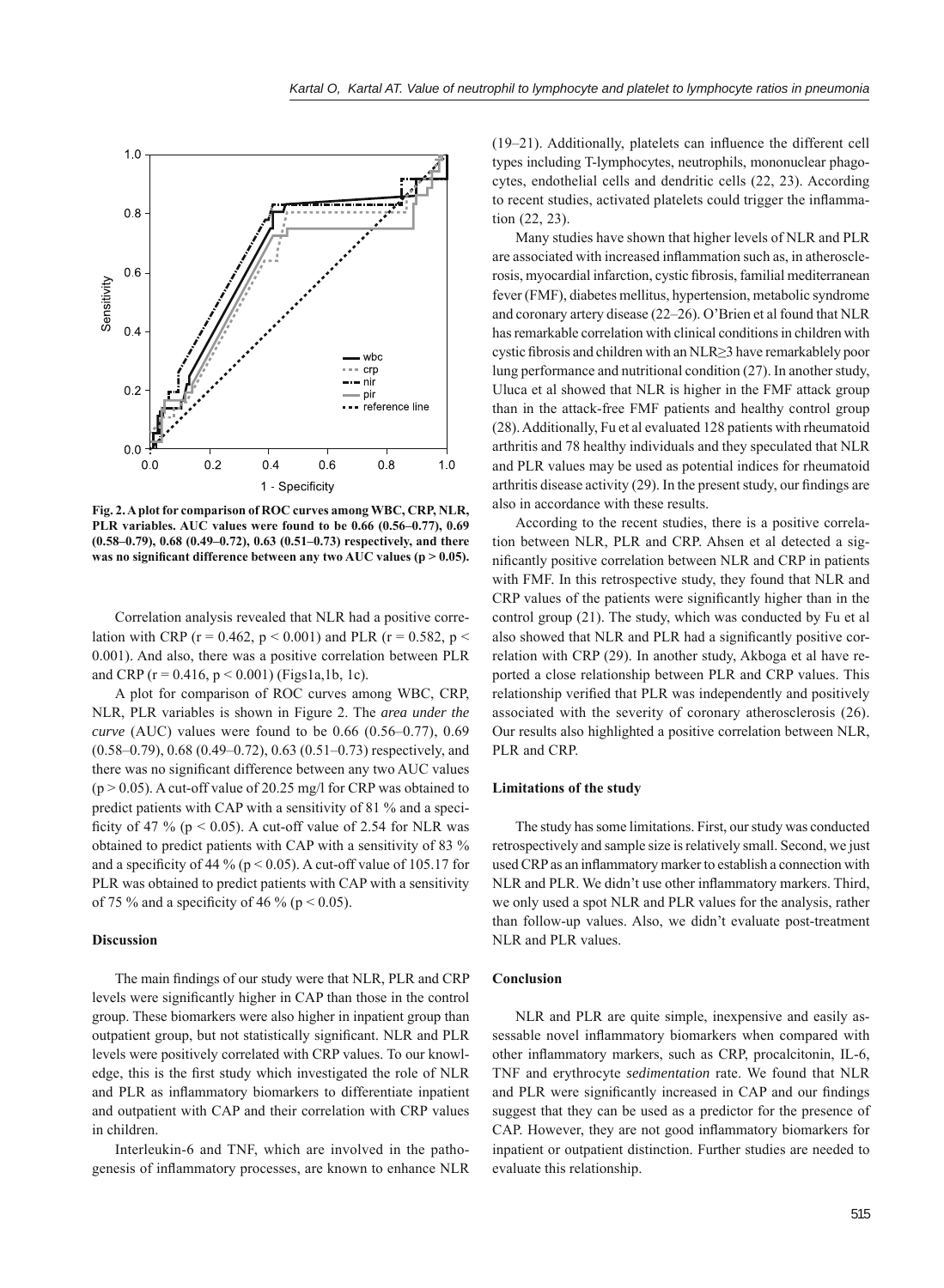

**Fig. 2. A plot for comparison of ROC curves among WBC, CRP, NLR, PLR variables. AUC values were found to be 0.66 (0.56–0.77), 0.69 (0.58–0.79), 0.68 (0.49–0.72), 0.63 (0.51–0.73) respectively, and there**  was no significant difference between any two AUC values (p > 0.05).

Correlation analysis revealed that NLR had a positive correlation with CRP ( $r = 0.462$ ,  $p < 0.001$ ) and PLR ( $r = 0.582$ ,  $p <$ 0.001). And also, there was a positive correlation between PLR and CRP ( $r = 0.416$ ,  $p < 0.001$ ) (Figs1a,1b, 1c).

A plot for comparison of ROC curves among WBC, CRP, NLR, PLR variables is shown in Figure 2. The *area under the curve* (AUC) values were found to be 0.66 (0.56–0.77), 0.69 (0.58–0.79), 0.68 (0.49–0.72), 0.63 (0.51–0.73) respectively, and there was no significant difference between any two AUC values  $(p > 0.05)$ . A cut-off value of 20.25 mg/l for CRP was obtained to predict patients with CAP with a sensitivity of 81 % and a specificity of 47 % ( $p < 0.05$ ). A cut-off value of 2.54 for NLR was obtained to predict patients with CAP with a sensitivity of 83 % and a specificity of 44 % ( $p < 0.05$ ). A cut-off value of 105.17 for PLR was obtained to predict patients with CAP with a sensitivity of 75 % and a specificity of 46 % ( $p < 0.05$ ).

## **Discussion**

The main findings of our study were that NLR, PLR and CRP levels were significantly higher in CAP than those in the control group. These biomarkers were also higher in inpatient group than outpatient group, but not statistically significant. NLR and PLR levels were positively correlated with CRP values. To our knowledge, this is the first study which investigated the role of NLR and PLR as inflammatory biomarkers to differentiate inpatient and outpatient with CAP and their correlation with CRP values in children.

Interleukin-6 and TNF, which are involved in the pathogenesis of inflammatory processes, are known to enhance NLR  $(19-21)$ . Additionally, platelets can influence the different cell types including T-lymphocytes, neutrophils, mononuclear phagocytes, endothelial cells and dendritic cells (22, 23). According to recent studies, activated platelets could trigger the inflammation (22, 23).

Many studies have shown that higher levels of NLR and PLR are associated with increased inflammation such as, in atherosclerosis, myocardial infarction, cystic fibrosis, familial mediterranean fever (FMF), diabetes mellitus, hypertension, metabolic syndrome and coronary artery disease (22–26). O'Brien et al found that NLR has remarkable correlation with clinical conditions in children with cystic fibrosis and children with an NLR≥3 have remarkablely poor lung performance and nutritional condition (27). In another study, Uluca et al showed that NLR is higher in the FMF attack group than in the attack-free FMF patients and healthy control group (28). Additionally, Fu et al evaluated 128 patients with rheumatoid arthritis and 78 healthy individuals and they speculated that NLR and PLR values may be used as potential indices for rheumatoid arthritis disease activity  $(29)$ . In the present study, our findings are also in accordance with these results.

According to the recent studies, there is a positive correlation between NLR, PLR and CRP. Ahsen et al detected a significantly positive correlation between NLR and CRP in patients with FMF. In this retrospective study, they found that NLR and CRP values of the patients were significantly higher than in the control group (21). The study, which was conducted by Fu et al also showed that NLR and PLR had a significantly positive correlation with CRP (29). In another study, Akboga et al have reported a close relationship between PLR and CRP values. This relationship verified that PLR was independently and positively associated with the severity of coronary atherosclerosis (26). Our results also highlighted a positive correlation between NLR, PLR and CRP.

#### **Limitations of the study**

The study has some limitations. First, our study was conducted retrospectively and sample size is relatively small. Second, we just used CRP as an inflammatory marker to establish a connection with NLR and PLR. We didn't use other inflammatory markers. Third, we only used a spot NLR and PLR values for the analysis, rather than follow-up values. Also, we didn't evaluate post-treatment NLR and PLR values.

#### **Conclusion**

NLR and PLR are quite simple, inexpensive and easily assessable novel inflammatory biomarkers when compared with other inflammatory markers, such as CRP, procalcitonin, IL-6, TNF and erythrocyte *sedimentation* rate. We found that NLR and PLR were significantly increased in CAP and our findings suggest that they can be used as a predictor for the presence of CAP. However, they are not good inflammatory biomarkers for inpatient or outpatient distinction. Further studies are needed to evaluate this relationship.